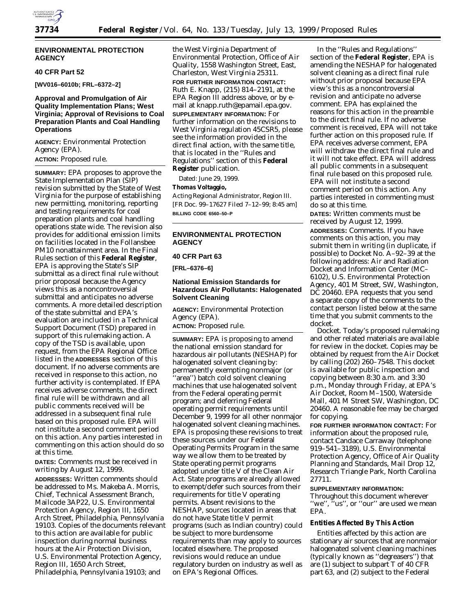

#### **ENVIRONMENTAL PROTECTION AGENCY**

#### **40 CFR Part 52**

**[WV016–6010b; FRL–6372–2]**

### **Approval and Promulgation of Air Quality Implementation Plans; West Virginia; Approval of Revisions to Coal Preparation Plants and Coal Handling Operations**

**AGENCY:** Environmental Protection Agency (EPA). **ACTION:** Proposed rule.

**SUMMARY:** EPA proposes to approve the State Implementation Plan (SIP) revision submitted by the State of West Virginia for the purpose of establishing new permitting, monitoring, reporting and testing requirements for coal preparation plants and coal handling operations state wide. The revision also provides for additional emission limits on facilities located in the Follansbee PM10 nonattainment area. In the Final Rules section of this **Federal Register**, EPA is approving the State's SIP submittal as a direct final rule without prior proposal because the Agency views this as a noncontroversial submittal and anticipates no adverse comments. A more detailed description of the state submittal and EPA's evaluation are included in a Technical Support Document (TSD) prepared in support of this rulemaking action. A copy of the TSD is available, upon request, from the EPA Regional Office listed in the **ADDRESSES** section of this document. If no adverse comments are received in response to this action, no further activity is contemplated. If EPA receives adverse comments, the direct final rule will be withdrawn and all public comments received will be addressed in a subsequent final rule based on this proposed rule. EPA will not institute a second comment period on this action. Any parties interested in commenting on this action should do so at this time.

**DATES:** Comments must be received in writing by August 12, 1999.

**ADDRESSES:** Written comments should be addressed to Ms. Makeba A. Morris, Chief, Technical Assessment Branch, Mailcode 3AP22, U.S. Environmental Protection Agency, Region III, 1650 Arch Street, Philadelphia, Pennsylvania 19103. Copies of the documents relevant to this action are available for public inspection during normal business hours at the Air Protection Division, U.S. Environmental Protection Agency, Region III, 1650 Arch Street, Philadelphia, Pennsylvania 19103; and

the West Virginia Department of Environmental Protection, Office of Air Quality, 1558 Washington Street, East, Charleston, West Virginia 25311.

**FOR FURTHER INFORMATION CONTACT:** Ruth E. Knapp, (215) 814–2191, at the EPA Region III address above, or by email at knapp.ruth@epamail.epa.gov. **SUPPLEMENTARY INFORMATION:** For further information on the revisions to West Virginia regulation 45CSR5, please see the information provided in the direct final action, with the same title, that is located in the ''Rules and Regulations'' section of this **Federal Register** publication.

Dated: June 29, 1999.

## **Thomas Voltaggio,**

*Acting Regional Administrator, Region III.* [FR Doc. 99–17627 Filed 7–12–99; 8:45 am] **BILLING CODE 6560–50–P**

## **ENVIRONMENTAL PROTECTION AGENCY**

# **40 CFR Part 63**

**[FRL–6376–6]**

# **National Emission Standards for Hazardous Air Pollutants: Halogenated Solvent Cleaning**

**AGENCY:** Environmental Protection Agency (EPA).

**ACTION:** Proposed rule.

**SUMMARY:** EPA is proposing to amend the national emission standard for hazardous air pollutants (NESHAP) for halogenated solvent cleaning by: permanently exempting nonmajor (or 'area'') batch cold solvent cleaning machines that use halogenated solvent from the Federal operating permit program; and deferring Federal operating permit requirements until December 9, 1999 for all other nonmajor halogenated solvent cleaning machines. EPA is proposing these revisions to treat these sources under our Federal Operating Permits Program in the same way we allow them to be treated by State operating permit programs adopted under title V of the Clean Air Act. State programs are already allowed to exempt/defer such sources from their requirements for title V operating permits. Absent revisions to the NESHAP, sources located in areas that do not have State title V permit programs (such as Indian country) could be subject to more burdensome requirements than may apply to sources located elsewhere. The proposed revisions would reduce an undue regulatory burden on industry as well as on EPA's Regional Offices.

In the ''Rules and Regulations'' section of the **Federal Register**, EPA is amending the NESHAP for halogenated solvent cleaning as a direct final rule without prior proposal because EPA view's this as a noncontroversial revision and anticipate no adverse comment. EPA has explained the reasons for this action in the preamble to the direct final rule. If no adverse comment is received, EPA will not take further action on this proposed rule. If EPA receives adverse comment, EPA will withdraw the direct final rule and it will not take effect. EPA will address all public comments in a subsequent final rule based on this proposed rule. EPA will not institute a second comment period on this action. Any parties interested in commenting must do so at this time.

**DATES:** Written comments must be received by August 12, 1999.

**ADDRESSES:** *Comments.* If you have comments on this action, you may submit them in writing (in duplicate, if possible) to Docket No. A–92–39 at the following address: Air and Radiation Docket and Information Center (MC– 6102), U.S. Environmental Protection Agency, 401 M Street, SW, Washington, DC 20460. EPA requests that you send a separate copy of the comments to the contact person listed below at the same time that you submit comments to the docket.

*Docket.* Today's proposed rulemaking and other related materials are available for review in the docket. Copies may be obtained by request from the Air Docket by calling (202) 260–7548. This docket is available for public inspection and copying between 8:30 a.m. and 3:30 p.m., Monday through Friday, at EPA's Air Docket, Room M–1500, Waterside Mall, 401 M Street SW, Washington, DC 20460. A reasonable fee may be charged for copying.

**FOR FURTHER INFORMATION CONTACT:** For information about the proposed rule, contact Candace Carraway (telephone 919–541–3189), U.S. Environmental Protection Agency, Office of Air Quality Planning and Standards, Mail Drop 12, Research Triangle Park, North Carolina 27711.

#### **SUPPLEMENTARY INFORMATION:**

Throughout this document wherever "we", "us", or "our" are used we mean EPA.

### **Entities Affected By This Action**

Entities affected by this action are stationary air sources that are nonmajor halogenated solvent cleaning machines (typically known as ''degreasers'') that are (1) subject to subpart T of 40 CFR part 63, and (2) subject to the Federal